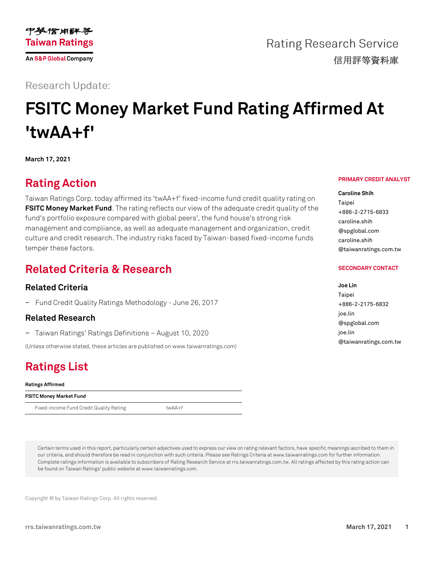

**Rating Research Service** 信用評等資料庫

## **Research Update:**

# **FSITC Money Market Fund Rating Affirmed At 'twAA+f'**

**March 17, 2021**

# **Rating Action**

Taiwan Ratings Corp. today affirmed its 'twAA+f' fixed-income fund credit quality rating on **[FSITC Money Market Fund](https://rrs.taiwanratings.com.tw/portal/member/viewFund/538)**. The rating reflects our view of the adequate credit quality of the fund's portfolio exposure compared with global peers', the fund house's strong risk management and compliance, as well as adequate management and organization, credit culture and credit research. The industry risks faced by Taiwan-based fixed-income funds temper these factors.

# **Related Criteria & Research**

### **Related Criteria**

− Fund Credit Quality Ratings Methodology - June 26, 2017

### **Related Research**

− Taiwan Ratings' Ratings Definitions – August 10, 2020

(Unless otherwise stated, these articles are published on www.taiwanratings.com)

# **Ratings List**

#### **Ratings Affirmed**

| FSITC Money Market Fund                 |        |  |
|-----------------------------------------|--------|--|
| Fixed-income Fund Credit Quality Rating | twAA+f |  |

#### **PRIMARY CREDIT ANALYST**

**Caroline Shih** Taipei +886-2-2715-6833 caroline.shih @spglobal.com caroline.shih @taiwanratings.com.tw

#### **SECONDARY CONTACT**

### **Joe Lin** Taipei +886-2-2175-6832 joe.lin @spglobal.com joe.lin @taiwanratings.com.tw

Certain terms used in this report, particularly certain adjectives used to express our view on rating relevant factors, have specific meanings ascribed to them in our criteria, and should therefore be read in conjunction with such criteria. Please see Ratings Criteria at www.taiwanratings.com for further information. Complete ratings information is available to subscribers of Rating Research Service at rrs.taiwanratings.com.tw. All ratings affected by this rating action can be found on Taiwan Ratings' public website at www.taiwanratings.com.

Copyright © by Taiwan Ratings Corp. All rights reserved.